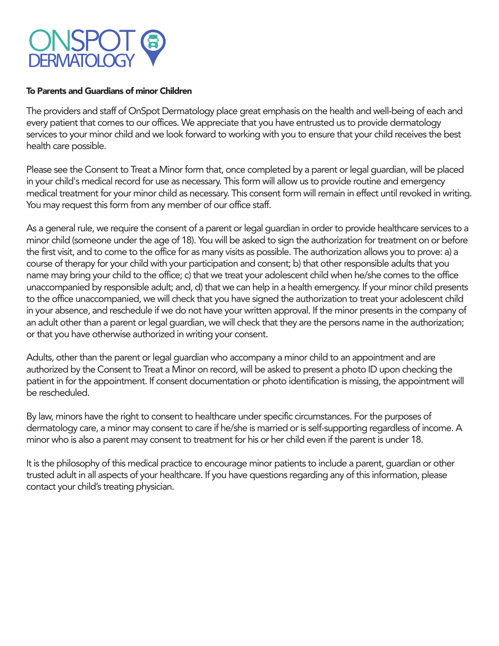# **ONSPOT DERMATOLOG**

#### To Parents and Guardians of minor Children

The providers and staff of OnSpot Dermatology place great emphasis on the health and well-being of each and every patient that comes to our offices. We appreciate that you have entrusted us to provide dermatology services to your minor child and we look forward to working with you to ensure that your child receives the best health care possible.

Please see the Consent to Treat a Minor form that, once completed by a parent or legal guardian, will be placed in your child's medical record for use as necessary. This form will allow us to provide routine and emergency medical treatment for your minor child as necessary. This consent form will remain in effect until revoked in writing. You may request this form from any member of our office staff.

As a general rule, we require the consent of a parent or legal guardian in order to provide healthcare services to a minor child (someone under the age of 18). You will be asked to sign the authorization for treatment on or before the first visit, and to come to the office for as many visits as possible. The authorization allows you to prove: a) a course of therapy for your child with your participation and consent; b) that other responsible adults that you name may bring your child to the office; c) that we treat your adolescent child when he/she comes to the office unaccompanied by responsible adult; and, d) that we can help in a health emergency. If your minor child presents to the office unaccompanied, we will check that you have signed the authorization to treat your adolescent child in your absence, and reschedule if we do not have your written approval. If the minor presents in the company of an adult other than a parent or legal guardian, we will check that they are the persons name in the authorization; or that you have otherwise authorized in writing your consent.

Adults, other than the parent or legal guardian who accompany a minor child to an appointment and are authorized by the Consent to Treat a Minor on record, will be asked to present a photo ID upon checking the patient in for the appointment. If consent documentation or photo identification is missing, the appointment will be rescheduled.

By law, minors have the right to consent to healthcare under specific circumstances. For the purposes of dermatology care, a minor may consent to care if he/she is married or is self-supporting regardless of income. A minor who is also a parent may consent to treatment for his or her child even if the parent is under 18.

It is the philosophy of this medical practice to encourage minor patients to include a parent, guardian or other trusted adult in all aspects of your healthcare. If you have questions regarding any of this information, please contact your child's treating physician.